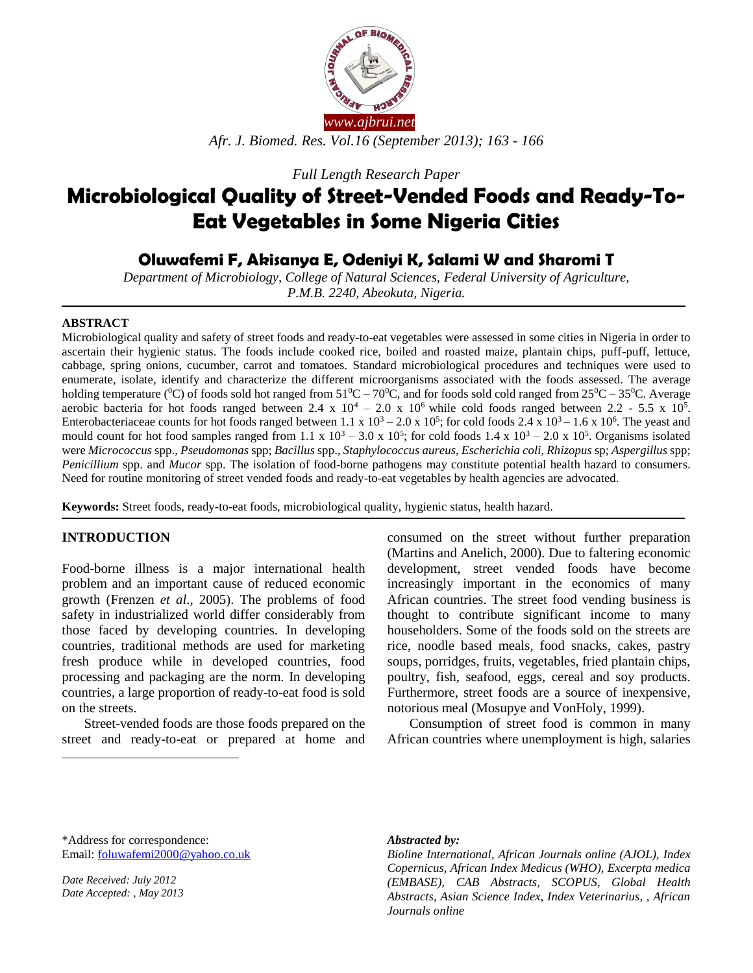

*Full Length Research Paper*

# **Microbiological Quality of Street-Vended Foods and Ready-To-Eat Vegetables in Some Nigeria Cities**

# **Oluwafemi F, Akisanya E, Odeniyi K, Salami W and Sharomi T**

*Department of Microbiology, College of Natural Sciences, Federal University of Agriculture, P.M.B. 2240, Abeokuta, Nigeria.*

#### **ABSTRACT**

Microbiological quality and safety of street foods and ready-to-eat vegetables were assessed in some cities in Nigeria in order to ascertain their hygienic status. The foods include cooked rice, boiled and roasted maize, plantain chips, puff-puff, lettuce, cabbage, spring onions, cucumber, carrot and tomatoes. Standard microbiological procedures and techniques were used to enumerate, isolate, identify and characterize the different microorganisms associated with the foods assessed. The average holding temperature ( ${}^{0}$ C) of foods sold hot ranged from  $51{}^{0}C - 70{}^{0}C$ , and for foods sold cold ranged from  $25{}^{0}C - 35{}^{0}C$ . Average aerobic bacteria for hot foods ranged between 2.4 x  $10^4 - 2.0$  x  $10^6$  while cold foods ranged between 2.2 - 5.5 x  $10^5$ . Enterobacteriaceae counts for hot foods ranged between 1.1 x  $10^3 - 2.0$  x  $10^5$ ; for cold foods 2.4 x  $10^3 - 1.6$  x  $10^6$ . The yeast and mould count for hot food samples ranged from 1.1 x  $10^3 - 3.0$  x  $10^5$ ; for cold foods 1.4 x  $10^3 - 2.0$  x  $10^5$ . Organisms isolated were *Micrococcus* spp., *Pseudomonas* spp; *Bacillus* spp., *Staphylococcus aureus, Escherichia coli, Rhizopus* sp; *Aspergillus* spp; *Penicillium* spp. and *Mucor* spp. The isolation of food-borne pathogens may constitute potential health hazard to consumers. Need for routine monitoring of street vended foods and ready-to-eat vegetables by health agencies are advocated.

**Keywords:** Street foods, ready-to-eat foods, microbiological quality, hygienic status, health hazard.

# **INTRODUCTION**

Food-borne illness is a major international health problem and an important cause of reduced economic growth (Frenzen *et al*., 2005). The problems of food safety in industrialized world differ considerably from those faced by developing countries. In developing countries, traditional methods are used for marketing fresh produce while in developed countries, food processing and packaging are the norm. In developing countries, a large proportion of ready-to-eat food is sold on the streets.

Street-vended foods are those foods prepared on the street and ready-to-eat or prepared at home and

consumed on the street without further preparation (Martins and Anelich, 2000). Due to faltering economic development, street vended foods have become increasingly important in the economics of many African countries. The street food vending business is thought to contribute significant income to many householders. Some of the foods sold on the streets are rice, noodle based meals, food snacks, cakes, pastry soups, porridges, fruits, vegetables, fried plantain chips, poultry, fish, seafood, eggs, cereal and soy products. Furthermore, street foods are a source of inexpensive, notorious meal (Mosupye and VonHoly, 1999).

Consumption of street food is common in many African countries where unemployment is high, salaries

\*Address for correspondence: Email: [foluwafemi2000@yahoo.co.uk](mailto:foluwafemi2000@yahoo.co.uk)

*Date Received: July 2012 Date Accepted: , May 2013*

 $\overline{a}$ 

#### *Abstracted by:*

*Bioline International, African Journals online (AJOL), Index Copernicus, African Index Medicus (WHO), Excerpta medica (EMBASE), CAB Abstracts, SCOPUS, Global Health Abstracts, Asian Science Index, Index Veterinarius, , African Journals online*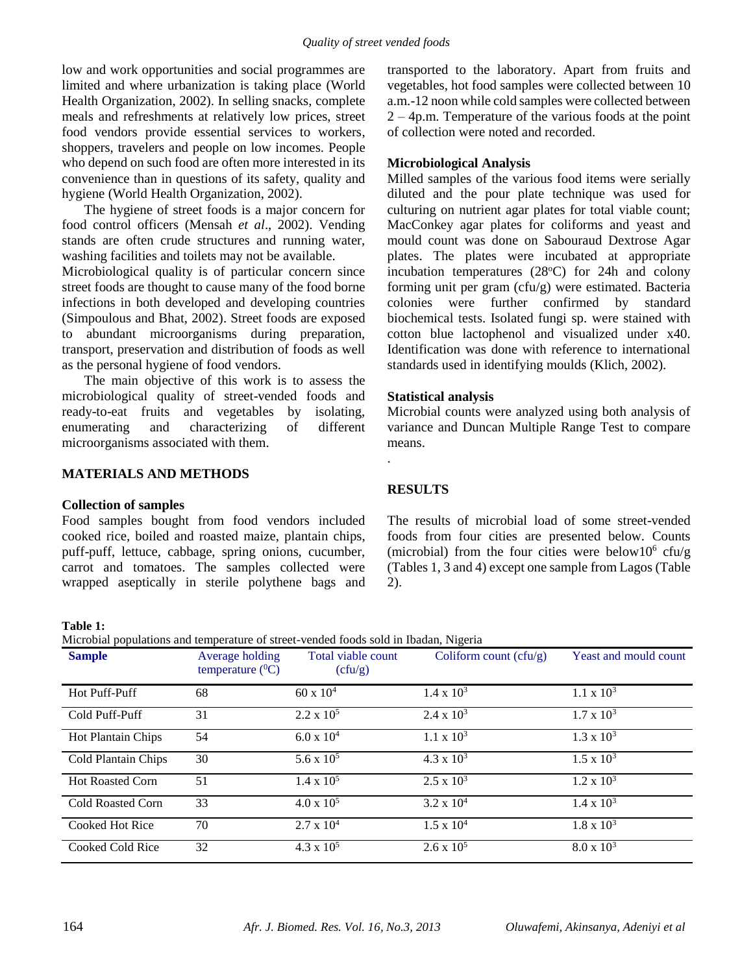low and work opportunities and social programmes are limited and where urbanization is taking place (World Health Organization, 2002). In selling snacks, complete meals and refreshments at relatively low prices, street food vendors provide essential services to workers, shoppers, travelers and people on low incomes. People who depend on such food are often more interested in its convenience than in questions of its safety, quality and hygiene (World Health Organization, 2002).

The hygiene of street foods is a major concern for food control officers (Mensah *et al*., 2002). Vending stands are often crude structures and running water, washing facilities and toilets may not be available.

Microbiological quality is of particular concern since street foods are thought to cause many of the food borne infections in both developed and developing countries (Simpoulous and Bhat, 2002). Street foods are exposed to abundant microorganisms during preparation, transport, preservation and distribution of foods as well as the personal hygiene of food vendors.

The main objective of this work is to assess the microbiological quality of street-vended foods and ready-to-eat fruits and vegetables by isolating, enumerating and characterizing of different microorganisms associated with them.

# **MATERIALS AND METHODS**

# **Collection of samples**

Food samples bought from food vendors included cooked rice, boiled and roasted maize, plantain chips, puff-puff, lettuce, cabbage, spring onions, cucumber, carrot and tomatoes. The samples collected were wrapped aseptically in sterile polythene bags and transported to the laboratory. Apart from fruits and vegetables, hot food samples were collected between 10 a.m.-12 noon while cold samples were collected between 2 – 4p.m. Temperature of the various foods at the point of collection were noted and recorded.

# **Microbiological Analysis**

Milled samples of the various food items were serially diluted and the pour plate technique was used for culturing on nutrient agar plates for total viable count; MacConkey agar plates for coliforms and yeast and mould count was done on Sabouraud Dextrose Agar plates. The plates were incubated at appropriate incubation temperatures  $(28^{\circ}C)$  for 24h and colony forming unit per gram (cfu/g) were estimated. Bacteria colonies were further confirmed by standard biochemical tests. Isolated fungi sp. were stained with cotton blue lactophenol and visualized under x40. Identification was done with reference to international standards used in identifying moulds (Klich, 2002).

# **Statistical analysis**

Microbial counts were analyzed using both analysis of variance and Duncan Multiple Range Test to compare means.

# **RESULTS**

.

The results of microbial load of some street-vended foods from four cities are presented below. Counts (microbial) from the four cities were below10 $6$  cfu/g (Tables 1, 3 and 4) except one sample from Lagos (Table 2).

#### **Table 1:**

Microbial populations and temperature of street-vended foods sold in Ibadan, Nigeria

| <b>Sample</b>            | Average holding<br>temperature $(^0C)$ | Total viable count<br>(cfu/g) | Coliform count $(cfu/g)$ | Yeast and mould count |
|--------------------------|----------------------------------------|-------------------------------|--------------------------|-----------------------|
| Hot Puff-Puff            | 68                                     | $60 \times 10^{4}$            | $1.4 \times 10^3$        | $1.1 \times 10^3$     |
| Cold Puff-Puff           | 31                                     | $2.2 \times 10^5$             | $2.4 \times 10^3$        | $1.7 \times 10^3$     |
| Hot Plantain Chips       | 54                                     | $6.0 \times 10^{4}$           | $1.1 \times 10^3$        | $1.3 \times 10^3$     |
| Cold Plantain Chips      | 30                                     | $5.6 \times 10^5$             | $4.3 \times 10^3$        | $1.5 \times 10^3$     |
| <b>Hot Roasted Corn</b>  | 51                                     | $1.4 \times 10^5$             | $2.5 \times 10^3$        | $1.2 \times 10^3$     |
| <b>Cold Roasted Corn</b> | 33                                     | $4.0 \times 10^5$             | $3.2 \times 10^{4}$      | $1.4 \times 10^3$     |
| Cooked Hot Rice          | 70                                     | $2.7 \times 10^4$             | $1.5 \times 10^4$        | $1.8 \times 10^3$     |
| Cooked Cold Rice         | 32                                     | $4.3 \times 10^5$             | $2.6 \times 10^5$        | $8.0 \times 10^3$     |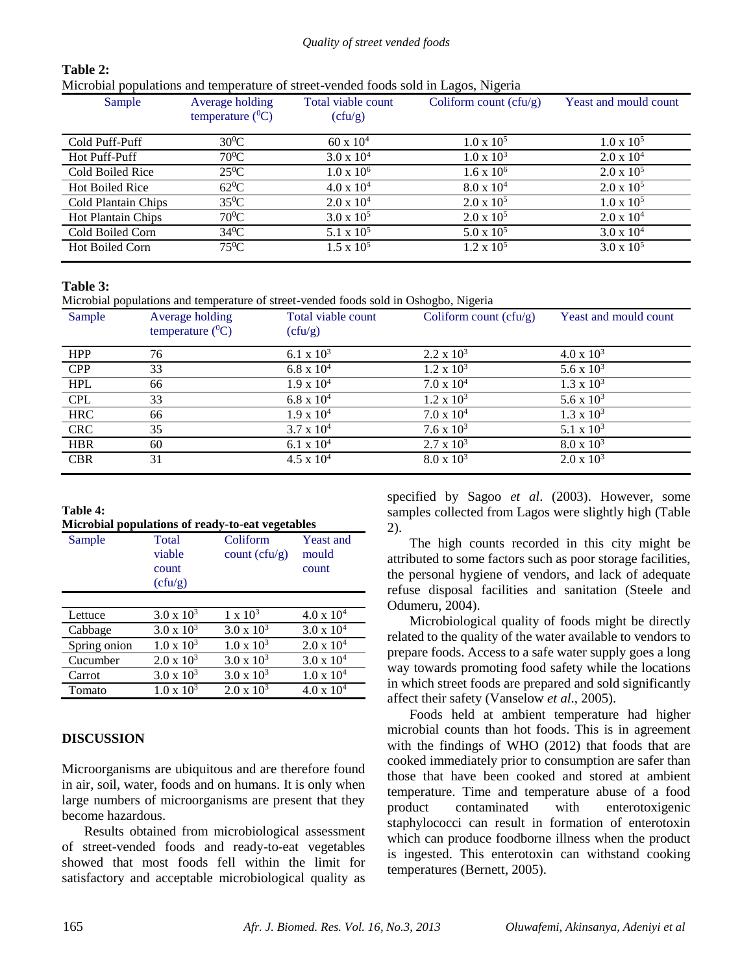#### *Quality of street vended foods*

# **Table 2:**

Microbial populations and temperature of street-vended foods sold in Lagos, Nigeria

| Sample                    | Average holding<br>temperature $(^{0}C)$ | Total viable count<br>(cfu/g) | Coliform count $(cfu/g)$ | Yeast and mould count |
|---------------------------|------------------------------------------|-------------------------------|--------------------------|-----------------------|
| Cold Puff-Puff            | $30^0C$                                  | $60 \times 10^{4}$            | $1.0 \times 10^5$        | $1.0 \times 10^5$     |
| Hot Puff-Puff             | $70^0C$                                  | $3.0 \times 10^{4}$           | $1.0 \times 10^3$        | $2.0 \times 10^{4}$   |
| Cold Boiled Rice          | $25^0C$                                  | $1.0 \times 10^6$             | $1.6 \times 10^6$        | $2.0 \times 10^5$     |
| <b>Hot Boiled Rice</b>    | $62^0C$                                  | $4.0 \times 10^{4}$           | $8.0 \times 10^{4}$      | $2.0 \times 10^5$     |
| Cold Plantain Chips       | $35^0C$                                  | $2.0 \times 10^4$             | $2.0 \times 10^5$        | $1.0 \times 10^5$     |
| <b>Hot Plantain Chips</b> | $70^0C$                                  | $3.0 \times 10^5$             | $2.0 \times 10^5$        | $2.0 \times 10^4$     |
| Cold Boiled Corn          | $34^0C$                                  | 5.1 x $10^5$                  | $5.0 \times 10^5$        | $3.0 \times 10^{4}$   |
| <b>Hot Boiled Corn</b>    | $75^0C$                                  | $1.5 \times 10^5$             | $1.2 \times 10^5$        | $3.0 \times 10^5$     |

# **Table 3:**

Microbial populations and temperature of street-vended foods sold in Oshogbo, Nigeria

| $\mathbf{r}$ |                                          |                               | ັ                        |                              |
|--------------|------------------------------------------|-------------------------------|--------------------------|------------------------------|
| Sample       | Average holding<br>temperature $(^{0}C)$ | Total viable count<br>(cfu/g) | Coliform count $(cfu/g)$ | <b>Yeast and mould count</b> |
| <b>HPP</b>   | 76                                       | 6.1 x $10^3$                  | $2.2 \times 10^3$        | $4.0 \times 10^3$            |
| <b>CPP</b>   | 33                                       | $6.8 \times 10^{4}$           | $1.2 \times 10^3$        | 5.6 x $10^3$                 |
| <b>HPL</b>   | 66                                       | $1.9 \times 10^{4}$           | $7.0 \times 10^4$        | $1.3 \times 10^3$            |
| <b>CPL</b>   | 33                                       | $6.8 \times 10^{4}$           | $1.2 \times 10^3$        | 5.6 x $10^3$                 |
| <b>HRC</b>   | 66                                       | $1.9 \times 10^{4}$           | $7.0 \times 10^4$        | $1.3 \times 10^3$            |
| <b>CRC</b>   | 35                                       | $3.7 \times 10^{4}$           | $7.6 \times 10^3$        | 5.1 x $10^3$                 |
| <b>HBR</b>   | 60                                       | 6.1 x $10^4$                  | $2.7 \times 10^3$        | $8.0 \times 10^3$            |
| <b>CBR</b>   | 31                                       | $4.5 \times 10^{4}$           | $8.0 \times 10^3$        | $2.0 \times 10^3$            |
|              |                                          |                               |                          |                              |

# **Table 4:**

| Microbial populations of ready-to-eat vegetables |  |  |  |  |
|--------------------------------------------------|--|--|--|--|
|--------------------------------------------------|--|--|--|--|

| microsiai populations of ready to cat regenesics<br>Sample | Total<br>viable<br>count<br>(cfu/g) | Coliform<br>count $(cfu/g)$ | <b>Yeast and</b><br>mould<br>count |
|------------------------------------------------------------|-------------------------------------|-----------------------------|------------------------------------|
|                                                            |                                     |                             |                                    |
| Lettuce                                                    | $3.0 \times 10^3$                   | $1 \times 10^3$             | $4.0 \times 10^{4}$                |
| Cabbage                                                    | $3.0 \times 10^3$                   | $3.0 \times 10^3$           | $3.0 \times 10^{4}$                |
| Spring onion                                               | $1.0 \times 10^3$                   | $1.0 \times 10^3$           | $2.0 \times 10^4$                  |
| Cucumber                                                   | $2.0 \times 10^3$                   | $3.0 \times 10^3$           | $3.0 \times 10^{4}$                |
| Carrot                                                     | $3.0 \times 10^3$                   | $3.0 \times 10^3$           | $1.0 \times 10^4$                  |
| Tomato                                                     | $1.0 \times 10^3$                   | $2.0 \times 10^3$           | $4.0 \times 10^{4}$                |

# **DISCUSSION**

Microorganisms are ubiquitous and are therefore found in air, soil, water, foods and on humans. It is only when large numbers of microorganisms are present that they become hazardous.

Results obtained from microbiological assessment of street-vended foods and ready-to-eat vegetables showed that most foods fell within the limit for satisfactory and acceptable microbiological quality as

specified by Sagoo *et al*. (2003). However, some samples collected from Lagos were slightly high (Table 2).

The high counts recorded in this city might be attributed to some factors such as poor storage facilities, the personal hygiene of vendors, and lack of adequate refuse disposal facilities and sanitation (Steele and Odumeru, 2004).

Microbiological quality of foods might be directly related to the quality of the water available to vendors to prepare foods. Access to a safe water supply goes a long way towards promoting food safety while the locations in which street foods are prepared and sold significantly affect their safety (Vanselow *et al*., 2005).

Foods held at ambient temperature had higher microbial counts than hot foods. This is in agreement with the findings of WHO (2012) that foods that are cooked immediately prior to consumption are safer than those that have been cooked and stored at ambient temperature. Time and temperature abuse of a food product contaminated with enterotoxigenic staphylococci can result in formation of enterotoxin which can produce foodborne illness when the product is ingested. This enterotoxin can withstand cooking temperatures (Bernett, 2005).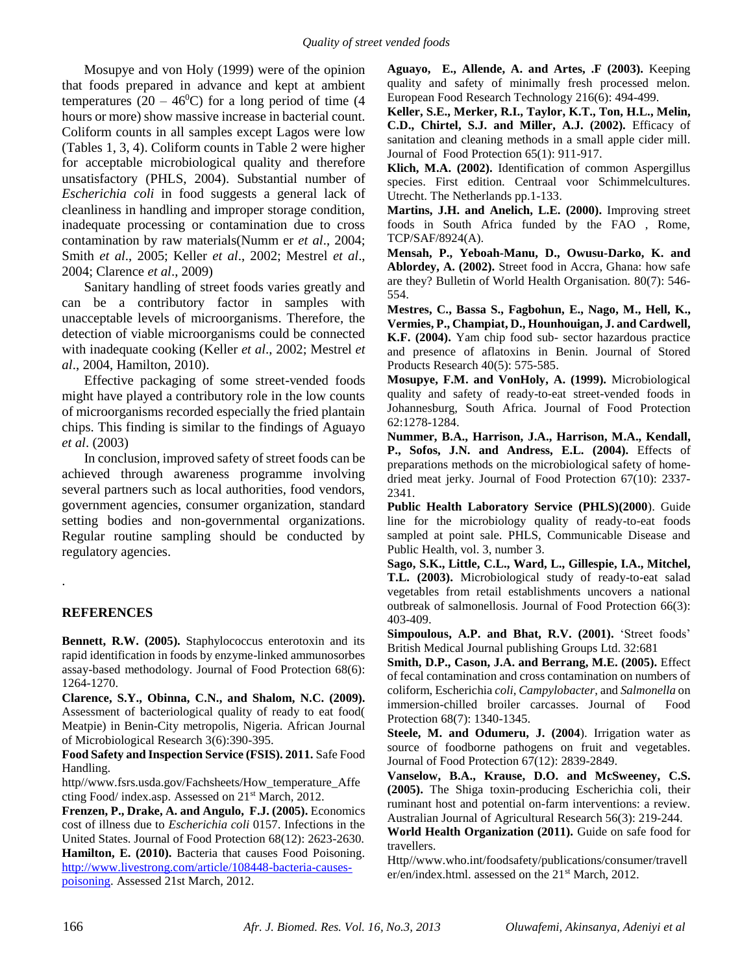Mosupye and von Holy (1999) were of the opinion that foods prepared in advance and kept at ambient temperatures (20 – 46<sup>0</sup>C) for a long period of time (4 hours or more) show massive increase in bacterial count. Coliform counts in all samples except Lagos were low (Tables 1, 3, 4). Coliform counts in Table 2 were higher for acceptable microbiological quality and therefore unsatisfactory (PHLS, 2004). Substantial number of *Escherichia coli* in food suggests a general lack of cleanliness in handling and improper storage condition, inadequate processing or contamination due to cross contamination by raw materials(Numm er *et al*., 2004; Smith *et al*., 2005; Keller *et al*., 2002; Mestrel *et al*., 2004; Clarence *et al*., 2009)

Sanitary handling of street foods varies greatly and can be a contributory factor in samples with unacceptable levels of microorganisms. Therefore, the detection of viable microorganisms could be connected with inadequate cooking (Keller *et al*., 2002; Mestrel *et al*., 2004, Hamilton, 2010).

Effective packaging of some street-vended foods might have played a contributory role in the low counts of microorganisms recorded especially the fried plantain chips. This finding is similar to the findings of Aguayo *et al*. (2003)

In conclusion, improved safety of street foods can be achieved through awareness programme involving several partners such as local authorities, food vendors, government agencies, consumer organization, standard setting bodies and non-governmental organizations. Regular routine sampling should be conducted by regulatory agencies.

# **REFERENCES**

.

**Bennett, R.W. (2005).** Staphylococcus enterotoxin and its rapid identification in foods by enzyme-linked ammunosorbes assay-based methodology. Journal of Food Protection 68(6): 1264-1270.

**Clarence, S.Y., Obinna, C.N., and Shalom, N.C. (2009).** Assessment of bacteriological quality of ready to eat food( Meatpie) in Benin-City metropolis, Nigeria. African Journal of Microbiological Research 3(6):390-395.

**Food Safety and Inspection Service (FSIS). 2011.** Safe Food Handling.

http//www.fsrs.usda.gov/Fachsheets/How\_temperature\_Affe cting Food/ index.asp. Assessed on 21st March, 2012.

**Frenzen, P., Drake, A. and Angulo, F.J. (2005).** Economics cost of illness due to *Escherichia coli* 0157. Infections in the United States. Journal of Food Protection 68(12): 2623-2630. **Hamilton, E. (2010).** Bacteria that causes Food Poisoning. [http://www.livestrong.com/article/108448-bacteria-causes](http://www.livestrong.com/article/108448-bacteria-causes-poisoning)[poisoning.](http://www.livestrong.com/article/108448-bacteria-causes-poisoning) Assessed 21st March, 2012.

**Aguayo, E., Allende, A. and Artes, .F (2003).** Keeping quality and safety of minimally fresh processed melon. European Food Research Technology 216(6): 494-499.

**Keller, S.E., Merker, R.I., Taylor, K.T., Ton, H.L., Melin, C.D., Chirtel, S.J. and Miller, A.J. (2002).** Efficacy of sanitation and cleaning methods in a small apple cider mill. Journal of Food Protection 65(1): 911-917.

**Klich, M.A. (2002).** Identification of common Aspergillus species. First edition. Centraal voor Schimmelcultures. Utrecht. The Netherlands pp.1-133.

**Martins, J.H. and Anelich, L.E. (2000).** Improving street foods in South Africa funded by the FAO , Rome, TCP/SAF/8924(A).

**Mensah, P., Yeboah-Manu, D., Owusu-Darko, K. and Ablordey, A. (2002).** Street food in Accra, Ghana: how safe are they? Bulletin of World Health Organisation*.* 80(7): 546- 554.

**Mestres, C., Bassa S., Fagbohun, E., Nago, M., Hell, K., Vermies, P., Champiat, D., Hounhouigan, J. and Cardwell, K.F. (2004).** Yam chip food sub- sector hazardous practice and presence of aflatoxins in Benin. Journal of Stored Products Research 40(5): 575-585.

**Mosupye, F.M. and VonHoly, A. (1999).** Microbiological quality and safety of ready-to-eat street-vended foods in Johannesburg, South Africa. Journal of Food Protection 62:1278-1284.

**Nummer, B.A., Harrison, J.A., Harrison, M.A., Kendall, P., Sofos, J.N. and Andress, E.L. (2004).** Effects of preparations methods on the microbiological safety of homedried meat jerky. Journal of Food Protection 67(10): 2337- 2341.

**Public Health Laboratory Service (PHLS)(2000**). Guide line for the microbiology quality of ready-to-eat foods sampled at point sale. PHLS, Communicable Disease and Public Health, vol. 3, number 3.

**Sago, S.K., Little, C.L., Ward, L., Gillespie, I.A., Mitchel, T.L. (2003).** Microbiological study of ready-to-eat salad vegetables from retail establishments uncovers a national outbreak of salmonellosis. Journal of Food Protection 66(3): 403-409.

**Simpoulous, A.P. and Bhat, R.V. (2001).** 'Street foods' British Medical Journal publishing Groups Ltd. 32:681

**Smith, D.P., Cason, J.A. and Berrang, M.E. (2005).** Effect of fecal contamination and cross contamination on numbers of coliform, Escherichia *coli*, *Campylobacter*, and *Salmonella* on immersion-chilled broiler carcasses. Journal of Food Protection 68(7): 1340-1345.

**Steele, M. and Odumeru, J. (2004**). Irrigation water as source of foodborne pathogens on fruit and vegetables. Journal of Food Protection 67(12): 2839-2849.

**Vanselow, B.A., Krause, D.O. and McSweeney, C.S. (2005).** The Shiga toxin-producing Escherichia coli, their ruminant host and potential on-farm interventions: a review. Australian Journal of Agricultural Research 56(3): 219-244.

**World Health Organization (2011).** Guide on safe food for travellers.

Http//www.who.int/foodsafety/publications/consumer/travell er/en/index.html. assessed on the 21<sup>st</sup> March, 2012.